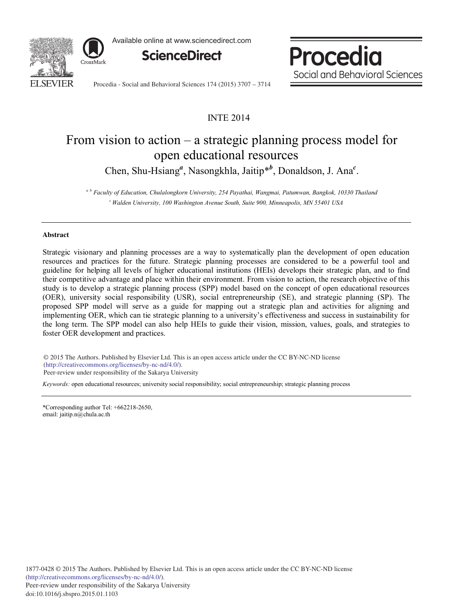

Available online at www.sciencedirect.com



Procedia Social and Behavioral Sciences

Procedia - Social and Behavioral Sciences 174 (2015) 3707 - 3714

## INTE 2014

# From vision to action – a strategic planning process model for open educational resources

Chen, Shu-Hsiang<sup>*a*</sup>, Nasongkhla, Jaitip<sup>\**b*</sup>, Donaldson, J. Ana<sup>*c*</sup>.

*<sup>a</sup> <sup>b</sup> Faculty of Education, Chulalongkorn University, 254 Payathai, Wangmai, Patumwan, Bangkok, 10330 Thailand c Walden University, 100 Washington Avenue South, Suite 900, Minneapolis, MN 55401 USA*

### **Abstract**

Strategic visionary and planning processes are a way to systematically plan the development of open education resources and practices for the future. Strategic planning processes are considered to be a powerful tool and guideline for helping all levels of higher educational institutions (HEIs) develops their strategic plan, and to find their competitive advantage and place within their environment. From vision to action, the research objective of this study is to develop a strategic planning process (SPP) model based on the concept of open educational resources (OER), university social responsibility (USR), social entrepreneurship (SE), and strategic planning (SP). The proposed SPP model will serve as a guide for mapping out a strategic plan and activities for aligning and implementing OER, which can tie strategic planning to a university's effectiveness and success in sustainability for the long term. The SPP model can also help HEIs to guide their vision, mission, values, goals, and strategies to foster OER development and practices.

© 2014 The Authors. Published by Elsevier Ltd. © 2015 The Authors. Published by Elsevier Ltd. This is an open access article under the CC BY-NC-ND license (http://creativecommons.org/licenses/by-nc-nd/4.0/). Peer-review under responsibility of the Sakarya University

*Keywords:* open educational resources; university social responsibility; social entrepreneurship; strategic planning process

\*Corresponding author Tel: +662218-2650, email: jaitip.n@chula.ac.th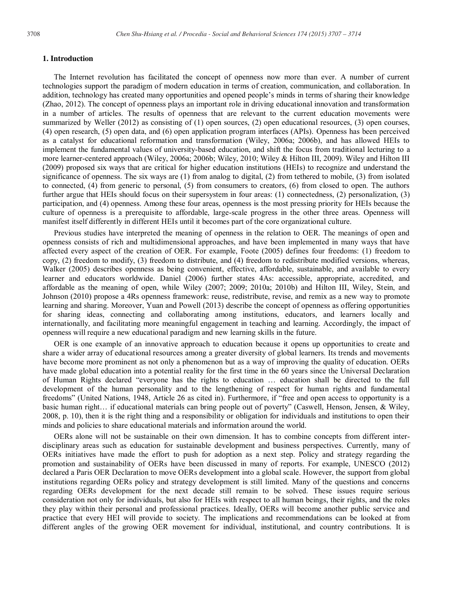#### **1. Introduction**

The Internet revolution has facilitated the concept of openness now more than ever. A number of current technologies support the paradigm of modern education in terms of creation, communication, and collaboration. In addition, technology has created many opportunities and opened people's minds in terms of sharing their knowledge (Zhao, 2012). The concept of openness plays an important role in driving educational innovation and transformation in a number of articles. The results of openness that are relevant to the current education movements were summarized by Weller (2012) as consisting of (1) open sources, (2) open educational resources, (3) open courses, (4) open research, (5) open data, and (6) open application program interfaces (APIs). Openness has been perceived as a catalyst for educational reformation and transformation (Wiley, 2006a; 2006b), and has allowed HEIs to implement the fundamental values of university-based education, and shift the focus from traditional lecturing to a more learner-centered approach (Wiley, 2006a; 2006b; Wiley, 2010; Wiley & Hilton III, 2009). Wiley and Hilton III (2009) proposed six ways that are critical for higher education institutions (HEIs) to recognize and understand the significance of openness. The six ways are (1) from analog to digital, (2) from tethered to mobile, (3) from isolated to connected, (4) from generic to personal, (5) from consumers to creators, (6) from closed to open. The authors further argue that HEIs should focus on their supersystem in four areas: (1) connectedness, (2) personalization, (3) participation, and (4) openness. Among these four areas, openness is the most pressing priority for HEIs because the culture of openness is a prerequisite to affordable, large-scale progress in the other three areas. Openness will manifest itself differently in different HEIs until it becomes part of the core organizational culture.

Previous studies have interpreted the meaning of openness in the relation to OER. The meanings of open and openness consists of rich and multidimensional approaches, and have been implemented in many ways that have affected every aspect of the creation of OER. For example, Foote (2005) defines four freedoms: (1) freedom to copy, (2) freedom to modify, (3) freedom to distribute, and (4) freedom to redistribute modified versions, whereas, Walker (2005) describes openness as being convenient, effective, affordable, sustainable, and available to every learner and educators worldwide. Daniel (2006) further states 4As: accessible, appropriate, accredited, and affordable as the meaning of open, while Wiley (2007; 2009; 2010a; 2010b) and Hilton III, Wiley, Stein, and Johnson (2010) propose a 4Rs openness framework: reuse, redistribute, revise, and remix as a new way to promote learning and sharing. Moreover, Yuan and Powell (2013) describe the concept of openness as offering opportunities for sharing ideas, connecting and collaborating among institutions, educators, and learners locally and internationally, and facilitating more meaningful engagement in teaching and learning. Accordingly, the impact of openness will require a new educational paradigm and new learning skills in the future.

OER is one example of an innovative approach to education because it opens up opportunities to create and share a wider array of educational resources among a greater diversity of global learners. Its trends and movements have become more prominent as not only a phenomenon but as a way of improving the quality of education. OERs have made global education into a potential reality for the first time in the 60 years since the Universal Declaration of Human Rights declared "everyone has the rights to education … education shall be directed to the full development of the human personality and to the lengthening of respect for human rights and fundamental freedoms" (United Nations, 1948, Article 26 as cited in). Furthermore, if "free and open access to opportunity is a basic human right… if educational materials can bring people out of poverty" (Caswell, Henson, Jensen, & Wiley, 2008, p. 10), then it is the right thing and a responsibility or obligation for individuals and institutions to open their minds and policies to share educational materials and information around the world.

OERs alone will not be sustainable on their own dimension. It has to combine concepts from different interdisciplinary areas such as education for sustainable development and business perspectives. Currently, many of OERs initiatives have made the effort to push for adoption as a next step. Policy and strategy regarding the promotion and sustainability of OERs have been discussed in many of reports. For example, UNESCO (2012) declared a Paris OER Declaration to move OERs development into a global scale. However, the support from global institutions regarding OERs policy and strategy development is still limited. Many of the questions and concerns regarding OERs development for the next decade still remain to be solved. These issues require serious consideration not only for individuals, but also for HEIs with respect to all human beings, their rights, and the roles they play within their personal and professional practices. Ideally, OERs will become another public service and practice that every HEI will provide to society. The implications and recommendations can be looked at from different angles of the growing OER movement for individual, institutional, and country contributions. It is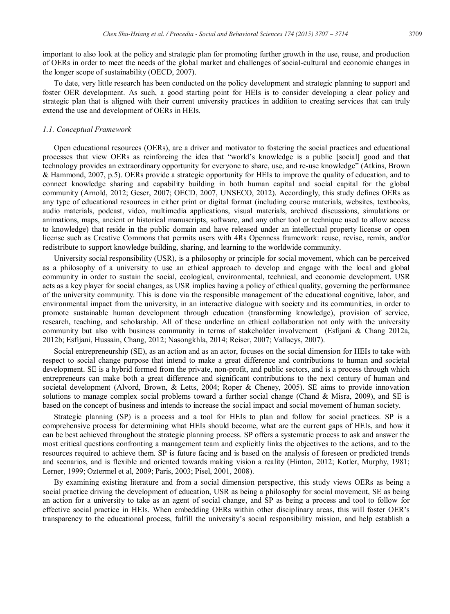important to also look at the policy and strategic plan for promoting further growth in the use, reuse, and production of OERs in order to meet the needs of the global market and challenges of social-cultural and economic changes in the longer scope of sustainability (OECD, 2007).

To date, very little research has been conducted on the policy development and strategic planning to support and foster OER development. As such, a good starting point for HEIs is to consider developing a clear policy and strategic plan that is aligned with their current university practices in addition to creating services that can truly extend the use and development of OERs in HEIs.

#### *1.1. Conceptual Framework*

Open educational resources (OERs), are a driver and motivator to fostering the social practices and educational processes that view OERs as reinforcing the idea that "world's knowledge is a public [social] good and that technology provides an extraordinary opportunity for everyone to share, use, and re-use knowledge" (Atkins, Brown & Hammond, 2007, p.5). OERs provide a strategic opportunity for HEIs to improve the quality of education, and to connect knowledge sharing and capability building in both human capital and social capital for the global community (Arnold, 2012; Geser, 2007; OECD, 2007, UNSECO, 2012). Accordingly, this study defines OERs as any type of educational resources in either print or digital format (including course materials, websites, textbooks, audio materials, podcast, video, multimedia applications, visual materials, archived discussions, simulations or animations, maps, ancient or historical manuscripts, software, and any other tool or technique used to allow access to knowledge) that reside in the public domain and have released under an intellectual property license or open license such as Creative Commons that permits users with 4Rs Openness framework: reuse, revise, remix, and/or redistribute to support knowledge building, sharing, and learning to the worldwide community.

University social responsibility (USR), is a philosophy or principle for social movement, which can be perceived as a philosophy of a university to use an ethical approach to develop and engage with the local and global community in order to sustain the social, ecological, environmental, technical, and economic development. USR acts as a key player for social changes, as USR implies having a policy of ethical quality, governing the performance of the university community. This is done via the responsible management of the educational cognitive, labor, and environmental impact from the university, in an interactive dialogue with society and its communities, in order to promote sustainable human development through education (transforming knowledge), provision of service, research, teaching, and scholarship. All of these underline an ethical collaboration not only with the university community but also with business community in terms of stakeholder involvement (Esfijani & Chang 2012a, 2012b; Esfijani, Hussain, Chang, 2012; Nasongkhla, 2014; Reiser, 2007; Vallaeys, 2007).

Social entrepreneurship (SE), as an action and as an actor, focuses on the social dimension for HEIs to take with respect to social change purpose that intend to make a great difference and contributions to human and societal development. SE is a hybrid formed from the private, non-profit, and public sectors, and is a process through which entrepreneurs can make both a great difference and significant contributions to the next century of human and societal development (Alvord, Brown, & Letts, 2004; Roper & Cheney, 2005). SE aims to provide innovation solutions to manage complex social problems toward a further social change (Chand & Misra, 2009), and SE is based on the concept of business and intends to increase the social impact and social movement of human society.

Strategic planning (SP) is a process and a tool for HEIs to plan and follow for social practices. SP is a comprehensive process for determining what HEIs should become, what are the current gaps of HEIs, and how it can be best achieved throughout the strategic planning process. SP offers a systematic process to ask and answer the most critical questions confronting a management team and explicitly links the objectives to the actions, and to the resources required to achieve them. SP is future facing and is based on the analysis of foreseen or predicted trends and scenarios, and is flexible and oriented towards making vision a reality (Hinton, 2012; Kotler, Murphy, 1981; Lerner, 1999; Oztermel et al, 2009; Paris, 2003; Pisel, 2001, 2008).

By examining existing literature and from a social dimension perspective, this study views OERs as being a social practice driving the development of education, USR as being a philosophy for social movement, SE as being an action for a university to take as an agent of social change, and SP as being a process and tool to follow for effective social practice in HEIs. When embedding OERs within other disciplinary areas, this will foster OER's transparency to the educational process, fulfill the university's social responsibility mission, and help establish a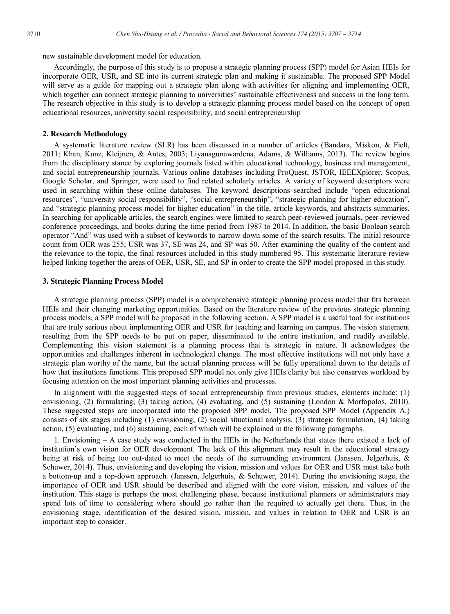new sustainable development model for education.

Accordingly, the purpose of this study is to propose a strategic planning process (SPP) model for Asian HEIs for incorporate OER, USR, and SE into its current strategic plan and making it sustainable. The proposed SPP Model will serve as a guide for mapping out a strategic plan along with activities for aligning and implementing OER, which together can connect strategic planning to universities' sustainable effectiveness and success in the long term. The research objective in this study is to develop a strategic planning process model based on the concept of open educational resources, university social responsibility, and social entrepreneurship

#### **2. Research Methodology**

A systematic literature review (SLR) has been discussed in a number of articles (Bandara, Miskon, & Fielt, 2011; Khan, Kunz, Kleijnen, & Antes, 2003; Liyanagunawardena, Adams, & Williams, 2013). The review begins from the disciplinary stance by exploring journals listed within educational technology, business and management, and social entrepreneurship journals. Various online databases including ProQuest, JSTOR, IEEEXplorer, Scopus, Google Scholar, and Springer, were used to find related scholarly articles. A variety of keyword descriptors were used in searching within these online databases. The keyword descriptions searched include "open educational resources", "university social responsibility", "social entrepreneurship", "strategic planning for higher education", and "strategic planning process model for higher education" in the title, article keywords, and abstracts summaries. In searching for applicable articles, the search engines were limited to search peer-reviewed journals, peer-reviewed conference proceedings, and books during the time period from 1987 to 2014. In addition, the basic Boolean search operator "And" was used with a subset of keywords to narrow down some of the search results. The initial resource count from OER was 255, USR was 37, SE was 24, and SP was 50. After examining the quality of the content and the relevance to the topic, the final resources included in this study numbered 95. This systematic literature review helped linking together the areas of OER, USR, SE, and SP in order to create the SPP model proposed in this study.

### **3. Strategic Planning Process Model**

A strategic planning process (SPP) model is a comprehensive strategic planning process model that fits between HEIs and their changing marketing opportunities. Based on the literature review of the previous strategic planning process models, a SPP model will be proposed in the following section. A SPP model is a useful tool for institutions that are truly serious about implementing OER and USR for teaching and learning on campus. The vision statement resulting from the SPP needs to be put on paper, disseminated to the entire institution, and readily available. Complementing this vision statement is a planning process that is strategic in nature. It acknowledges the opportunities and challenges inherent in technological change. The most effective institutions will not only have a strategic plan worthy of the name, but the actual planning process will be fully operational down to the details of how that institutions functions. This proposed SPP model not only give HEIs clarity but also conserves workload by focusing attention on the most important planning activities and processes.

In alignment with the suggested steps of social entrepreneurship from previous studies, elements include: (1) envisioning, (2) formulating, (3) taking action, (4) evaluating, and (5) sustaining (London & Morfopolos, 2010). These suggested steps are incorporated into the proposed SPP model. The proposed SPP Model (Appendix A.) consists of six stages including (1) envisioning, (2) social situational analysis, (3) strategic formulation, (4) taking action, (5) evaluating, and (6) sustaining, each of which will be explained in the following paragraphs.

1. Envisioning – A case study was conducted in the HEIs in the Netherlands that states there existed a lack of institution's own vision for OER development. The lack of this alignment may result in the educational strategy being at risk of being too out-dated to meet the needs of the surrounding environment (Janssen, Jelgerhuis, & Schuwer, 2014). Thus, envisioning and developing the vision, mission and values for OER and USR must take both a bottom-up and a top-down approach. (Janssen, Jelgerhuis, & Schuwer, 2014). During the envisioning stage, the importance of OER and USR should be described and aligned with the core vision, mission, and values of the institution. This stage is perhaps the most challenging phase, because institutional planners or administrators may spend lots of time to considering where should go rather than the required to actually get there. Thus, in the envisioning stage, identification of the desired vision, mission, and values in relation to OER and USR is an important step to consider.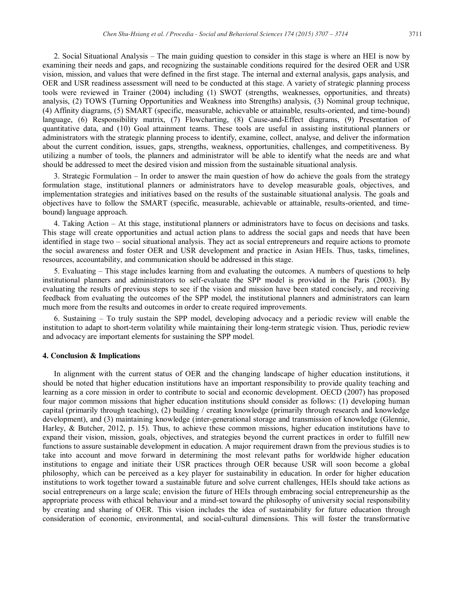2. Social Situational Analysis – The main guiding question to consider in this stage is where an HEI is now by examining their needs and gaps, and recognizing the sustainable conditions required for the desired OER and USR vision, mission, and values that were defined in the first stage. The internal and external analysis, gaps analysis, and OER and USR readiness assessment will need to be conducted at this stage. A variety of strategic planning process tools were reviewed in Trainer (2004) including (1) SWOT (strengths, weaknesses, opportunities, and threats) analysis, (2) TOWS (Turning Opportunities and Weakness into Strengths) analysis, (3) Nominal group technique, (4) Affinity diagrams, (5) SMART (specific, measurable, achievable or attainable, results-oriented, and time-bound) language, (6) Responsibility matrix, (7) Flowcharting, (8) Cause-and-Effect diagrams, (9) Presentation of quantitative data, and (10) Goal attainment teams. These tools are useful in assisting institutional planners or administrators with the strategic planning process to identify, examine, collect, analyse, and deliver the information about the current condition, issues, gaps, strengths, weakness, opportunities, challenges, and competitiveness. By utilizing a number of tools, the planners and administrator will be able to identify what the needs are and what should be addressed to meet the desired vision and mission from the sustainable situational analysis.

3. Strategic Formulation – In order to answer the main question of how do achieve the goals from the strategy formulation stage, institutional planners or administrators have to develop measurable goals, objectives, and implementation strategies and initiatives based on the results of the sustainable situational analysis. The goals and objectives have to follow the SMART (specific, measurable, achievable or attainable, results-oriented, and timebound) language approach.

4. Taking Action – At this stage, institutional planners or administrators have to focus on decisions and tasks. This stage will create opportunities and actual action plans to address the social gaps and needs that have been identified in stage two – social situational analysis. They act as social entrepreneurs and require actions to promote the social awareness and foster OER and USR development and practice in Asian HEIs. Thus, tasks, timelines, resources, accountability, and communication should be addressed in this stage.

5. Evaluating – This stage includes learning from and evaluating the outcomes. A numbers of questions to help institutional planners and administrators to self-evaluate the SPP model is provided in the Paris (2003). By evaluating the results of previous steps to see if the vision and mission have been stated concisely, and receiving feedback from evaluating the outcomes of the SPP model, the institutional planners and administrators can learn much more from the results and outcomes in order to create required improvements.

6. Sustaining – To truly sustain the SPP model, developing advocacy and a periodic review will enable the institution to adapt to short-term volatility while maintaining their long-term strategic vision. Thus, periodic review and advocacy are important elements for sustaining the SPP model.

#### **4. Conclusion & Implications**

In alignment with the current status of OER and the changing landscape of higher education institutions, it should be noted that higher education institutions have an important responsibility to provide quality teaching and learning as a core mission in order to contribute to social and economic development. OECD (2007) has proposed four major common missions that higher education institutions should consider as follows: (1) developing human capital (primarily through teaching), (2) building / creating knowledge (primarily through research and knowledge development), and (3) maintaining knowledge (inter-generational storage and transmission of knowledge (Glennie, Harley, & Butcher, 2012, p. 15). Thus, to achieve these common missions, higher education institutions have to expand their vision, mission, goals, objectives, and strategies beyond the current practices in order to fulfill new functions to assure sustainable development in education. A major requirement drawn from the previous studies is to take into account and move forward in determining the most relevant paths for worldwide higher education institutions to engage and initiate their USR practices through OER because USR will soon become a global philosophy, which can be perceived as a key player for sustainability in education. In order for higher education institutions to work together toward a sustainable future and solve current challenges, HEIs should take actions as social entrepreneurs on a large scale; envision the future of HEIs through embracing social entrepreneurship as the appropriate process with ethical behaviour and a mind-set toward the philosophy of university social responsibility by creating and sharing of OER. This vision includes the idea of sustainability for future education through consideration of economic, environmental, and social-cultural dimensions. This will foster the transformative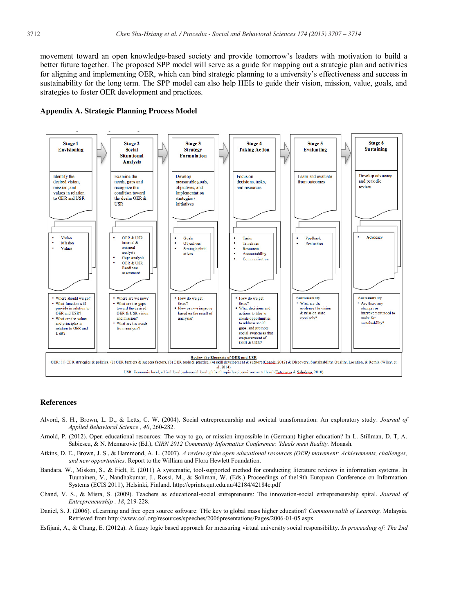movement toward an open knowledge-based society and provide tomorrow's leaders with motivation to build a better future together. The proposed SPP model will serve as a guide for mapping out a strategic plan and activities for aligning and implementing OER, which can bind strategic planning to a university's effectiveness and success in sustainability for the long term. The SPP model can also help HEIs to guide their vision, mission, value, goals, and strategies to foster OER development and practices.





#### **References**

- Alvord, S. H., Brown, L. D., & Letts, C. W. (2004). Social entrepreneurship and societal transformation: An exploratory study. *Journal of Applied Behavioral Science , 40*, 260-282.
- Arnold, P. (2012). Open educational resources: The way to go, or mission impossible in (German) higher education? In L. Stillman, D. T, A. Sabiescu, & N. Memarovic (Ed.), *CIRN 2012 Community Informatics Conference: 'Ideals meet Reality.* Monash.
- Atkins, D. E., Brown, J. S., & Hammond, A. L. (2007). *A review of the open educational resources (OER) movement: Achievements, challenges, and new opportunities.* Report to the William and Flora Hewlett Foundation.
- Bandara, W., Miskon, S., & Fielt, E. (2011) A systematic, tool-supported method for conducting literature reviews in information systems. In Tuunainen, V., Nandhakumar, J., Rossi, M., & Soliman, W. (Eds.) Proceedings of the19th European Conference on Information Systems (ECIS 2011), Helsinki, Finland. http://eprints.qut.edu.au/42184/42184c.pdf
- Chand, V. S., & Misra, S. (2009). Teachers as educational-social entrepreneurs: The innovation-social entrepreneurship spiral. *Journal of Entrepreneurship , 18*, 219-228.
- Daniel, S. J. (2006). eLearning and free open source software: THe key to global mass higher education? *Commonwealth of Learning.* Malaysia. Retrieved from http://www.col.org/resources/speeches/2006presentations/Pages/2006-01-05.aspx
- Esfijani, A., & Chang, E. (2012a). A fuzzy logic based approach for measuring virtual university social responsibility. *In proceeding of: The 2nd*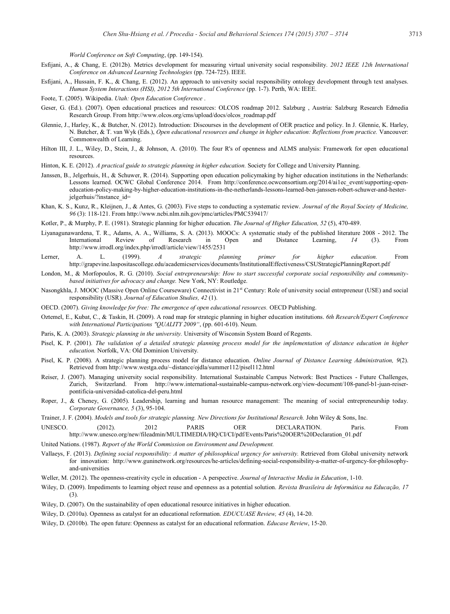*World Conference on Soft Computing*, (pp. 149-154).

- Esfijani, A., & Chang, E. (2012b). Metrics development for measuring virtual university social responsibility. *2012 IEEE 12th International Conference on Advanced Learning Technologies* (pp. 724-725). IEEE.
- Esfijani, A., Hussain, F. K., & Chang, E. (2012). An approach to university social responsibility ontology development through text analyses. *Human System Interactions (HSI), 2012 5th International Conference* (pp. 1-7). Perth, WA: IEEE.
- Foote, T. (2005). Wikipedia. *Utah: Open Education Conference* .
- Geser, G. (Ed.). (2007). Open educational practices and resources: OLCOS roadmap 2012. Salzburg , Austria: Salzburg Research Edmedia Research Group. From http://www.olcos.org/cms/upload/docs/olcos\_roadmap.pdf
- Glennie, J., Harley, K., & Butcher, N. (2012). Introduction: Discourses in the development of OER practice and policy. In J. Glennie, K. Harley, N. Butcher, & T. van Wyk (Eds.), *Open educational resources and change in higher education: Reflections from practice.* Vancouver: Commonwealth of Learning.
- Hilton III, J. L., Wiley, D., Stein, J., & Johnson, A. (2010). The four R's of openness and ALMS analysis: Framework for open educational resources.
- Hinton, K. E. (2012). *A practical guide to strategic planning in higher education.* Society for College and University Planning.
- Janssen, B., Jelgerhuis, H., & Schuwer, R. (2014). Supporting open education policymaking by higher education institutions in the Netherlands: Lessons learned. OCWC Global Conference 2014. From http://conference.ocwconsortium.org/2014/ai1ec\_event/supporting-openeducation-policy-making-by-higher-education-institutions-in-the-netherlands-lessons-learned-ben-janssen-robert-schuwer-and-hesterjelgerhuis/?instance\_id=
- Khan, K. S., Kunz, R., Kleijnen, J., & Antes, G. (2003). Five steps to conducting a systematic review. *Journal of the Royal Society of Medicine, 96* (3): 118-121. From http://www.ncbi.nlm.nih.gov/pmc/articles/PMC539417/
- Kotler, P., & Murphy, P. E. (1981). Strategic planning for higher education. *The Journal of Higher Education, 52* (5), 470-489.
- Liyanagunawardena, T. R., Adams, A. A., Williams, S. A. (2013). MOOCs: A systematic study of the published literature 2008 2012. The International Review of Research in Open and Distance Learning, *14* (3). From http://www.irrodl.org/index.php/irrodl/article/view/1455/2531
- Lerner, A. L. (1999). *A strategic planning primer for higher education.* From http://grapevine.laspositascollege.edu/academicservices/documents/InstitutionalEffectiveness/CSUStrategicPlanningReport.pdf
- London, M., & Morfopoulos, R. G. (2010). *Social entrepreneurship: How to start successful corporate social responsibility and communitybased initiatives for advocacy and change.* New York, NY: Routledge.
- Nasongkhla, J. MOOC (Massive Open Online Courseware) Connectivist in 21<sup>st</sup> Century: Role of university social entrepreneur (USE) and social responsibility (USR). *Journal of Education Studies, 42* (1).
- OECD. (2007). *Giving knowledge for free: The emergence of open educational resources.* OECD Publishing.
- Oztemel, E., Kubat, C., & Taskin, H. (2009). A road map for strategic planning in higher education institutions. *6th Research/Expert Conference with International Participations "QUALITY 2009"*, (pp. 601-610). Neum.
- Paris, K. A. (2003). *Strategic planning in the university.* University of Wisconsin System Board of Regents.
- Pisel, K. P. (2001). *The validation of a detailed strategic planning process model for the implementation of distance education in higher education.* Norfolk, VA: Old Dominion University.
- Pisel, K. P. (2008). A strategic planning process model for distance education. *Online Journal of Distance Learning Administration, 9*(2). Retrieved from http://www.westga.edu/~distance/ojdla/summer112/pisel112.html
- Reiser, J. (2007). Managing university social responsibility. International Sustainable Campus Network: Best Practices Future Challenges, Zurich, Switzerland. From http://www.international-sustainable-campus-network.org/view-document/108-panel-b1-juan-reiserpontificia-universidad-catolica-del-peru.html
- Roper, J., & Cheney, G. (2005). Leadership, learning and human resource management: The meaning of social entrepreneurship today. *Corporate Governance, 5* (3), 95-104.
- Trainer, J. F. (2004). *Models and tools for strategic planning. New Directions for Institutional Research.* John Wiley & Sons, Inc.
- UNESCO. (2012). 2012 PARIS OER DECLARATION. Paris. From http://www.unesco.org/new/fileadmin/MULTIMEDIA/HQ/CI/CI/pdf/Events/Paris%20OER%20Declaration\_01.pdf
- United Nations. (1987). *Report of the World Commission on Environment and Development.*
- Vallaeys, F. (2013). *Defining social responsibility: A matter of philosophical urgency for university.* Retrieved from Global university network for innovation: http://www.guninetwork.org/resources/he-articles/defining-social-responsibility-a-matter-of-urgency-for-philosophyand-universities
- Weller, M. (2012). The openness-creativity cycle in education A perspective. *Journal of Interactive Media in Education*, 1-10.
- Wiley, D. (2009). Impediments to learning object reuse and openness as a potential solution. *Revista Brasileira de Informática na Educação, 17* (3).
- Wiley, D. (2007). On the sustainability of open educational resource initiatives in higher education.
- Wiley, D. (2010a). Openness as catalyst for an educational reformation. *EDUCUASE Review, 45* (4), 14-20.
- Wiley, D. (2010b). The open future: Openness as catalyst for an educational reformation. *Educase Review*, 15-20.